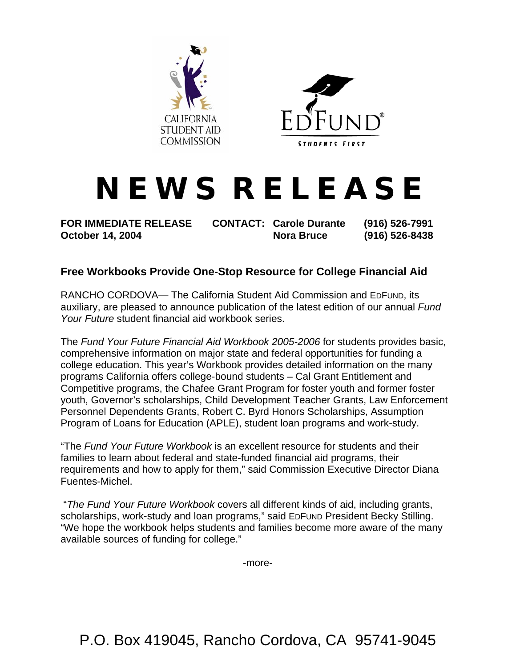



## **N E W S R E L E A S E**

**FOR IMMEDIATE RELEASE CONTACT: Carole Durante (916) 526-7991 October 14, 2004 Nora Bruce (916) 526-8438** 

## **Free Workbooks Provide One-Stop Resource for College Financial Aid**

RANCHO CORDOVA— The California Student Aid Commission and EDFUND, its auxiliary, are pleased to announce publication of the latest edition of our annual *Fund Your Future* student financial aid workbook series.

The *Fund Your Future Financial Aid Workbook 2005-2006* for students provides basic, comprehensive information on major state and federal opportunities for funding a college education. This year's Workbook provides detailed information on the many programs California offers college-bound students – Cal Grant Entitlement and Competitive programs, the Chafee Grant Program for foster youth and former foster youth, Governor's scholarships, Child Development Teacher Grants, Law Enforcement Personnel Dependents Grants, Robert C. Byrd Honors Scholarships, Assumption Program of Loans for Education (APLE), student loan programs and work-study.

"The *Fund Your Future Workbook* is an excellent resource for students and their families to learn about federal and state-funded financial aid programs, their requirements and how to apply for them," said Commission Executive Director Diana Fuentes-Michel.

 "*The Fund Your Future Workbook* covers all different kinds of aid, including grants, scholarships, work-study and loan programs," said EDFUND President Becky Stilling. "We hope the workbook helps students and families become more aware of the many available sources of funding for college."

-more-

P.O. Box 419045, Rancho Cordova, CA 95741-9045